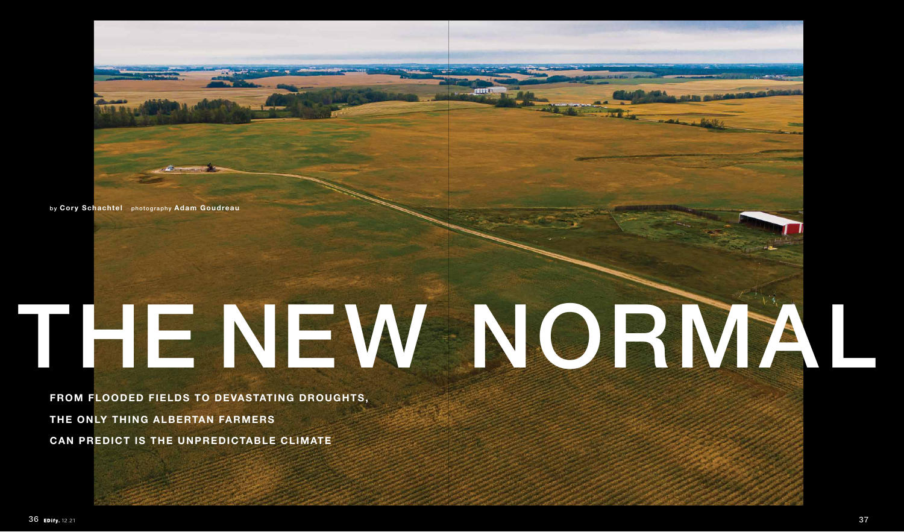

## THE NEW NORMAL

**FROM FLOODED FIELDS TO DEVASTATING DROUGHTS, THE ONLY THING ALBERTAN FARMERS CAN PREDICT IS THE UNPREDICTABLE CLIMATE**

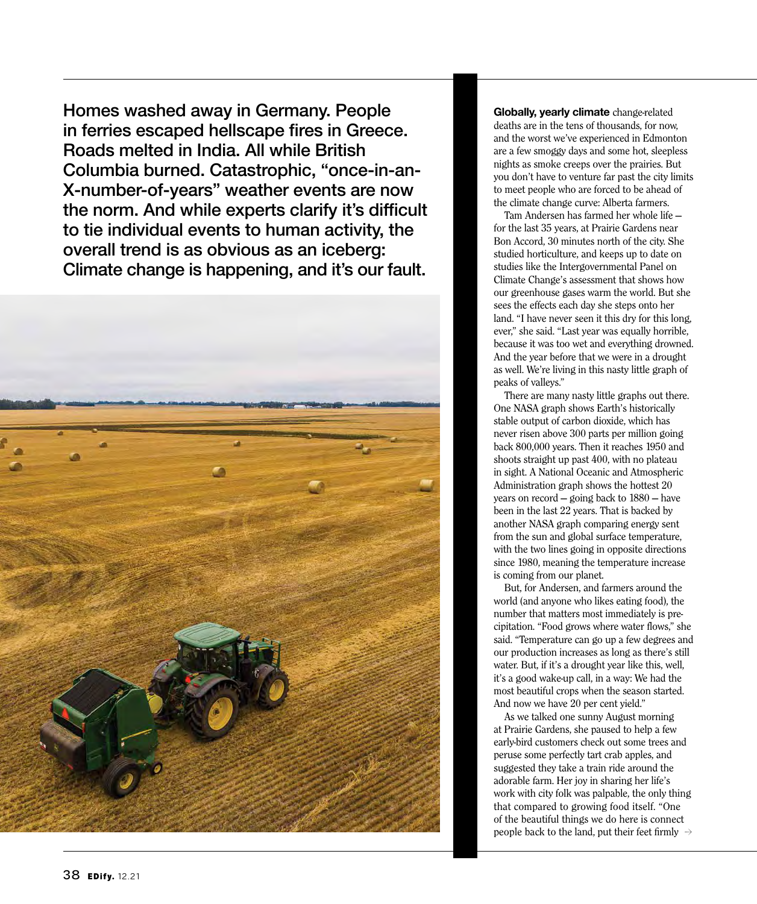Homes washed away in Germany. People in ferries escaped hellscape fires in Greece. Roads melted in India. All while British Columbia burned. Catastrophic, "once-in-an-X-number-of-years" weather events are now the norm. And while experts clarify it's difficult to tie individual events to human activity, the overall trend is as obvious as an iceberg: Climate change is happening, and it's our fault.



**Globally, yearly climate** change-related deaths are in the tens of thousands, for now, and the worst we've experienced in Edmonton are a few smoggy days and some hot, sleepless nights as smoke creeps over the prairies. But you don't have to venture far past the city limits to meet people who are forced to be ahead of the climate change curve: Alberta farmers.

Tam Andersen has farmed her whole life for the last 35 years, at Prairie Gardens near Bon Accord, 30 minutes north of the city. She studied horticulture, and keeps up to date on studies like the Intergovernmental Panel on Climate Change's assessment that shows how our greenhouse gases warm the world. But she sees the effects each day she steps onto her land. "I have never seen it this dry for this long, ever," she said. "Last year was equally horrible, because it was too wet and everything drowned. And the year before that we were in a drought as well. We're living in this nasty little graph of peaks of valleys."

There are many nasty little graphs out there. One NASA graph shows Earth's historically stable output of carbon dioxide, which has never risen above 300 parts per million going back 800,000 years. Then it reaches 1950 and shoots straight up past 400, with no plateau in sight. A National Oceanic and Atmospheric Administration graph shows the hottest 20 years on record — going back to 1880 — have been in the last 22 years. That is backed by another NASA graph comparing energy sent from the sun and global surface temperature, with the two lines going in opposite directions since 1980, meaning the temperature increase is coming from our planet.

But, for Andersen, and farmers around the world (and anyone who likes eating food), the number that matters most immediately is precipitation. "Food grows where water flows," she said. "Temperature can go up a few degrees and our production increases as long as there's still water. But, if it's a drought year like this, well, it's a good wake-up call, in a way: We had the most beautiful crops when the season started. And now we have 20 per cent yield."

As we talked one sunny August morning at Prairie Gardens, she paused to help a few early-bird customers check out some trees and peruse some perfectly tart crab apples, and suggested they take a train ride around the adorable farm. Her joy in sharing her life's work with city folk was palpable, the only thing that compared to growing food itself. "One of the beautiful things we do here is connect people back to the land, put their feet firmly  $\rightarrow$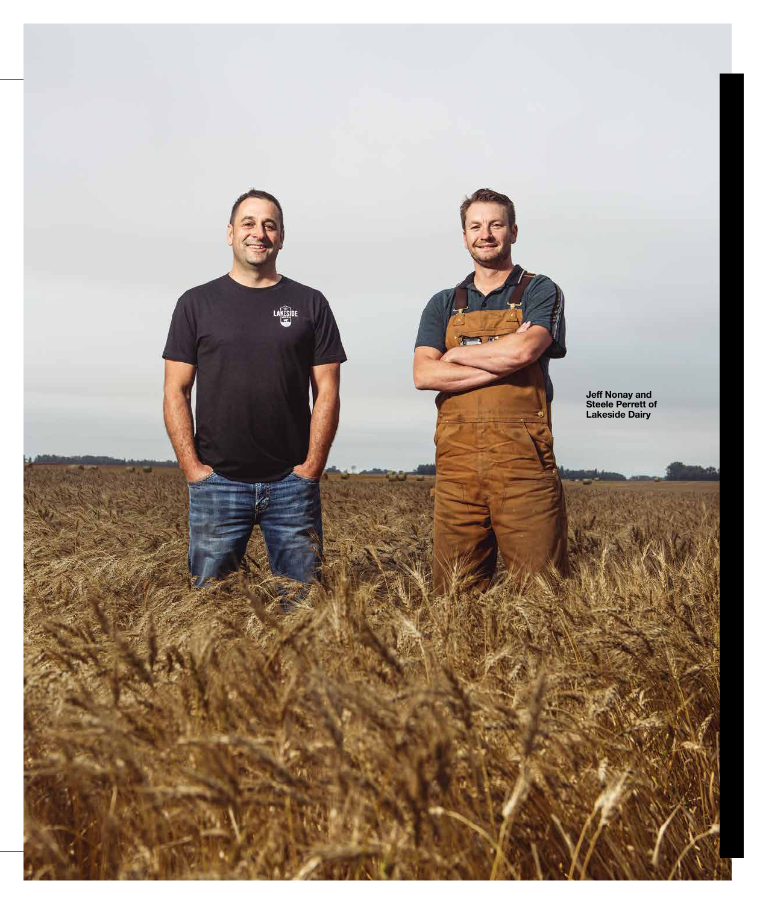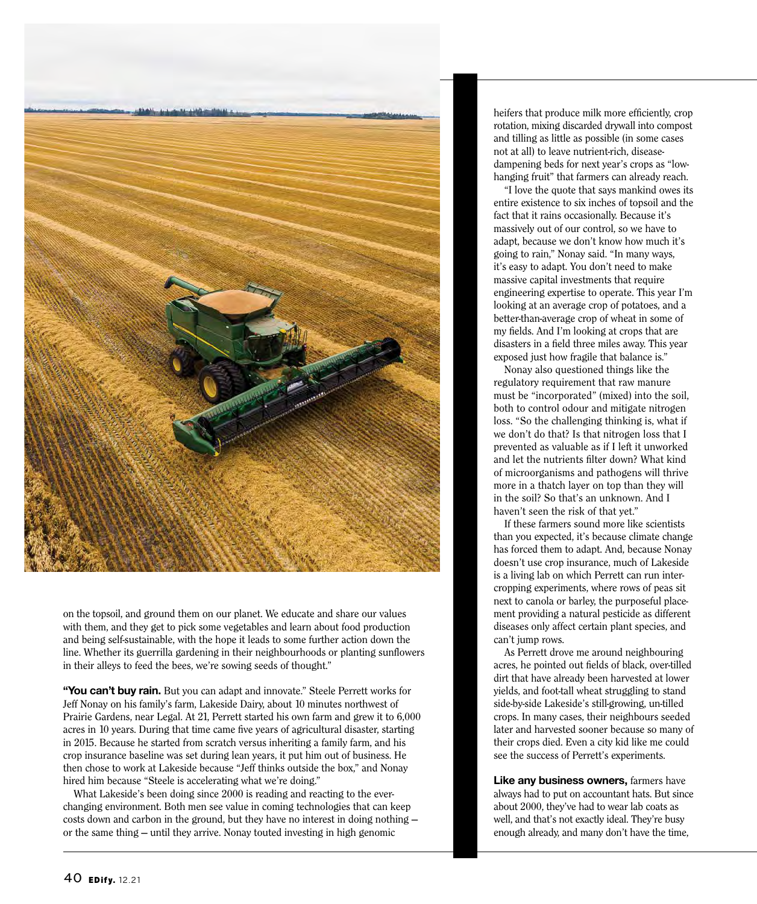

on the topsoil, and ground them on our planet. We educate and share our values with them, and they get to pick some vegetables and learn about food production and being self-sustainable, with the hope it leads to some further action down the line. Whether its guerrilla gardening in their neighbourhoods or planting sunflowers in their alleys to feed the bees, we're sowing seeds of thought."

**"You can't buy rain.** But you can adapt and innovate." Steele Perrett works for Jeff Nonay on his family's farm, Lakeside Dairy, about 10 minutes northwest of Prairie Gardens, near Legal. At 21, Perrett started his own farm and grew it to 6,000 acres in 10 years. During that time came five years of agricultural disaster, starting in 2015. Because he started from scratch versus inheriting a family farm, and his crop insurance baseline was set during lean years, it put him out of business. He then chose to work at Lakeside because "Jeff thinks outside the box," and Nonay hired him because "Steele is accelerating what we're doing."

What Lakeside's been doing since 2000 is reading and reacting to the everchanging environment. Both men see value in coming technologies that can keep costs down and carbon in the ground, but they have no interest in doing nothing or the same thing — until they arrive. Nonay touted investing in high genomic

heifers that produce milk more efficiently, crop rotation, mixing discarded drywall into compost and tilling as little as possible (in some cases not at all) to leave nutrient-rich, diseasedampening beds for next year's crops as "lowhanging fruit" that farmers can already reach.

"I love the quote that says mankind owes its entire existence to six inches of topsoil and the fact that it rains occasionally. Because it's massively out of our control, so we have to adapt, because we don't know how much it's going to rain," Nonay said. "In many ways, it's easy to adapt. You don't need to make massive capital investments that require engineering expertise to operate. This year I'm looking at an average crop of potatoes, and a better-than-average crop of wheat in some of my fields. And I'm looking at crops that are disasters in a field three miles away. This year exposed just how fragile that balance is."

Nonay also questioned things like the regulatory requirement that raw manure must be "incorporated" (mixed) into the soil, both to control odour and mitigate nitrogen loss. "So the challenging thinking is, what if we don't do that? Is that nitrogen loss that I prevented as valuable as if I left it unworked and let the nutrients filter down? What kind of microorganisms and pathogens will thrive more in a thatch layer on top than they will in the soil? So that's an unknown. And I haven't seen the risk of that yet."

If these farmers sound more like scientists than you expected, it's because climate change has forced them to adapt. And, because Nonay doesn't use crop insurance, much of Lakeside is a living lab on which Perrett can run intercropping experiments, where rows of peas sit next to canola or barley, the purposeful placement providing a natural pesticide as different diseases only affect certain plant species, and can't jump rows.

As Perrett drove me around neighbouring acres, he pointed out fields of black, over-tilled dirt that have already been harvested at lower yields, and foot-tall wheat struggling to stand side-by-side Lakeside's still-growing, un-tilled crops. In many cases, their neighbours seeded later and harvested sooner because so many of their crops died. Even a city kid like me could see the success of Perrett's experiments.

**Like any business owners, farmers have** always had to put on accountant hats. But since about 2000, they've had to wear lab coats as well, and that's not exactly ideal. They're busy enough already, and many don't have the time,